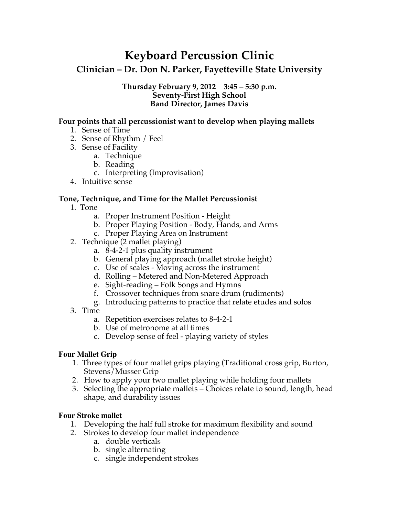# **Keyboard Percussion Clinic**

## **Clinician – Dr. Don N. Parker, Fayetteville State University**

#### **Thursday February 9, 2012 3:45 – 5:30 p.m. Seventy-First High School Band Director, James Davis**

## **Four points that all percussionist want to develop when playing mallets**

- 1. Sense of Time
- 2. Sense of Rhythm / Feel
- 3. Sense of Facility
	- a. Technique
	- b. Reading
	- c. Interpreting (Improvisation)
- 4. Intuitive sense

## **Tone, Technique, and Time for the Mallet Percussionist**

- 1. Tone
	- a. Proper Instrument Position Height
	- b. Proper Playing Position Body, Hands, and Arms
	- c. Proper Playing Area on Instrument
- 2. Technique (2 mallet playing)
	- a. 8-4-2-1 plus quality instrument
	- b. General playing approach (mallet stroke height)
	- c. Use of scales Moving across the instrument
	- d. Rolling Metered and Non-Metered Approach
	- e. Sight-reading Folk Songs and Hymns
	- f. Crossover techniques from snare drum (rudiments)
	- g. Introducing patterns to practice that relate etudes and solos
- 3. Time
	- a. Repetition exercises relates to 8-4-2-1
	- b. Use of metronome at all times
	- c. Develop sense of feel playing variety of styles

## **Four Mallet Grip**

- 1. Three types of four mallet grips playing (Traditional cross grip, Burton, Stevens/Musser Grip
- 2. How to apply your two mallet playing while holding four mallets
- 3. Selecting the appropriate mallets Choices relate to sound, length, head shape, and durability issues

## **Four Stroke mallet**

- 1. Developing the half full stroke for maximum flexibility and sound
- 2. Strokes to develop four mallet independence
	- a. double verticals
	- b. single alternating
	- c. single independent strokes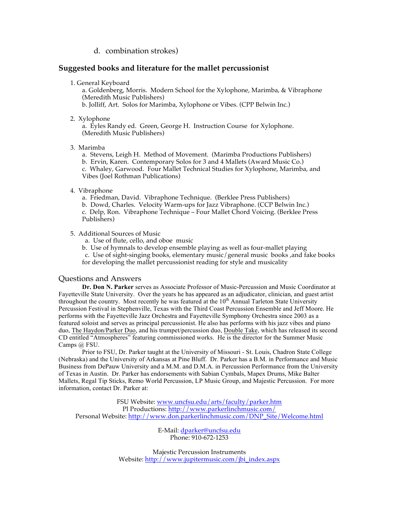#### d. combination strokes)

#### **Suggested books and literature for the mallet percussionist**

1. General Keyboard

a. Goldenberg, Morris. Modern School for the Xylophone, Marimba, & Vibraphone (Meredith Music Publishers)

b. Jolliff, Art. Solos for Marimba, Xylophone or Vibes. (CPP Belwin Inc.)

2. Xylophone

a. Eyles Randy ed. Green, George H. Instruction Course for Xylophone. (Meredith Music Publishers)

#### 3. Marimba

a. Stevens, Leigh H. Method of Movement. (Marimba Productions Publishers)

b. Ervin, Karen. Contemporary Solos for 3 and 4 Mallets (Award Music Co.)

c. Whaley, Garwood. Four Mallet Technical Studies for Xylophone, Marimba, and Vibes (Joel Rothman Publications)

- 4. Vibraphone
	- a. Friedman, David. Vibraphone Technique. (Berklee Press Publishers)
	- b. Dowd, Charles. Velocity Warm-ups for Jazz Vibraphone. (CCP Belwin Inc.)
	- c. Delp, Ron. Vibraphone Technique Four Mallet Chord Voicing. (Berklee Press Publishers)

5. Additional Sources of Music

- a. Use of flute, cello, and oboe music
- b. Use of hymnals to develop ensemble playing as well as four-mallet playing

 c. Use of sight-singing books, elementary music/general music books ,and fake books for developing the mallet percussionist reading for style and musicality

#### Questions and Answers

**Dr. Don N. Parker** serves as Associate Professor of Music-Percussion and Music Coordinator at Fayetteville State University. Over the years he has appeared as an adjudicator, clinician, and guest artist throughout the country. Most recently he was featured at the  $10<sup>th</sup>$  Annual Tarleton State University Percussion Festival in Stephenville, Texas with the Third Coast Percussion Ensemble and Jeff Moore. He performs with the Fayetteville Jazz Orchestra and Fayetteville Symphony Orchestra since 2003 as a featured soloist and serves as principal percussionist. He also has performs with his jazz vibes and piano duo, The Haydon/Parker Duo, and his trumpet/percussion duo, Double Take, which has released its second CD entitled "Atmospheres" featuring commissioned works. He is the director for the Summer Music Camps @ FSU.

Prior to FSU, Dr. Parker taught at the University of Missouri - St. Louis, Chadron State College (Nebraska) and the University of Arkansas at Pine Bluff. Dr. Parker has a B.M. in Performance and Music Business from DePauw University and a M.M. and D.M.A. in Percussion Performance from the University of Texas in Austin. Dr. Parker has endorsements with Sabian Cymbals, Mapex Drums, Mike Balter Mallets, Regal Tip Sticks, Remo World Percussion, LP Music Group, and Majestic Percussion. For more information, contact Dr. Parker at:

FSU Website: www.uncfsu.edu/arts/faculty/parker.htm Pl Productions: http://www.parkerlinchmusic.com/ Personal Website: http://www.don.parkerlinchmusic.com/DNP\_Site/Welcome.html

> E-Mail: dparker@uncfsu.edu Phone: 910-672-1253

Majestic Percussion Instruments Website: http://www.jupitermusic.com/jbi\_index.aspx